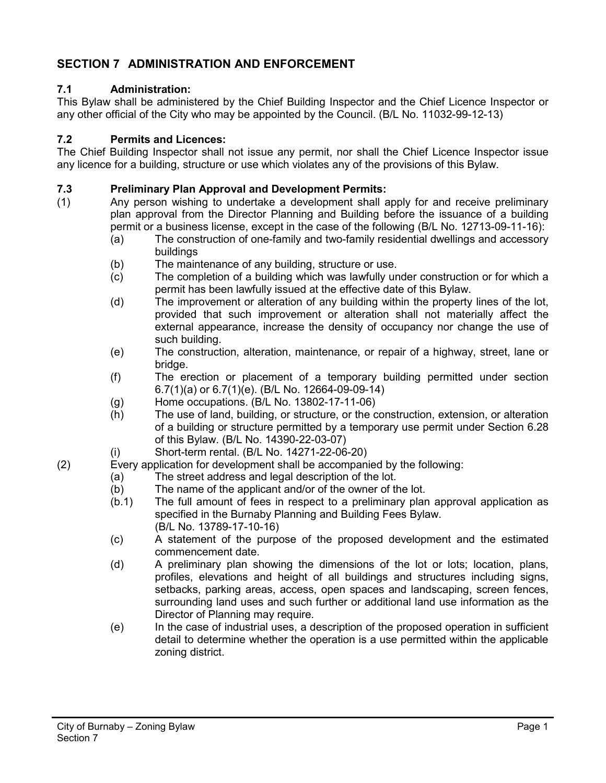# **SECTION 7 ADMINISTRATION AND ENFORCEMENT**

#### **7.1 Administration:**

This Bylaw shall be administered by the Chief Building Inspector and the Chief Licence Inspector or any other official of the City who may be appointed by the Council. (B/L No. 11032-99-12-13)

#### **7.2 Permits and Licences:**

The Chief Building Inspector shall not issue any permit, nor shall the Chief Licence Inspector issue any licence for a building, structure or use which violates any of the provisions of this Bylaw.

# **7.3 Preliminary Plan Approval and Development Permits:**<br>(1) Any person wishing to undertake a development shall a

- Any person wishing to undertake a development shall apply for and receive preliminary plan approval from the Director Planning and Building before the issuance of a building permit or a business license, except in the case of the following (B/L No. 12713-09-11-16):
	- (a) The construction of one-family and two-family residential dwellings and accessory buildings
	- (b) The maintenance of any building, structure or use.
	- (c) The completion of a building which was lawfully under construction or for which a permit has been lawfully issued at the effective date of this Bylaw.
	- (d) The improvement or alteration of any building within the property lines of the lot, provided that such improvement or alteration shall not materially affect the external appearance, increase the density of occupancy nor change the use of such building.
	- (e) The construction, alteration, maintenance, or repair of a highway, street, lane or bridge.
	- (f) The erection or placement of a temporary building permitted under section 6.7(1)(a) or 6.7(1)(e). (B/L No. 12664-09-09-14)
	- (g) Home occupations. (B/L No. 13802-17-11-06)
	- (h) The use of land, building, or structure, or the construction, extension, or alteration of a building or structure permitted by a temporary use permit under Section 6.28 of this Bylaw. (B/L No. 14390-22-03-07)
	- (i) Short-term rental. (B/L No. 14271-22-06-20)
- (2) Every application for development shall be accompanied by the following:
	- (a) The street address and legal description of the lot.
	- (b) The name of the applicant and/or of the owner of the lot.
	- (b.1) The full amount of fees in respect to a preliminary plan approval application as specified in the Burnaby Planning and Building Fees Bylaw. (B/L No. 13789-17-10-16)
	- (c) A statement of the purpose of the proposed development and the estimated commencement date.
	- (d) A preliminary plan showing the dimensions of the lot or lots; location, plans, profiles, elevations and height of all buildings and structures including signs, setbacks, parking areas, access, open spaces and landscaping, screen fences, surrounding land uses and such further or additional land use information as the Director of Planning may require.
	- (e) In the case of industrial uses, a description of the proposed operation in sufficient detail to determine whether the operation is a use permitted within the applicable zoning district.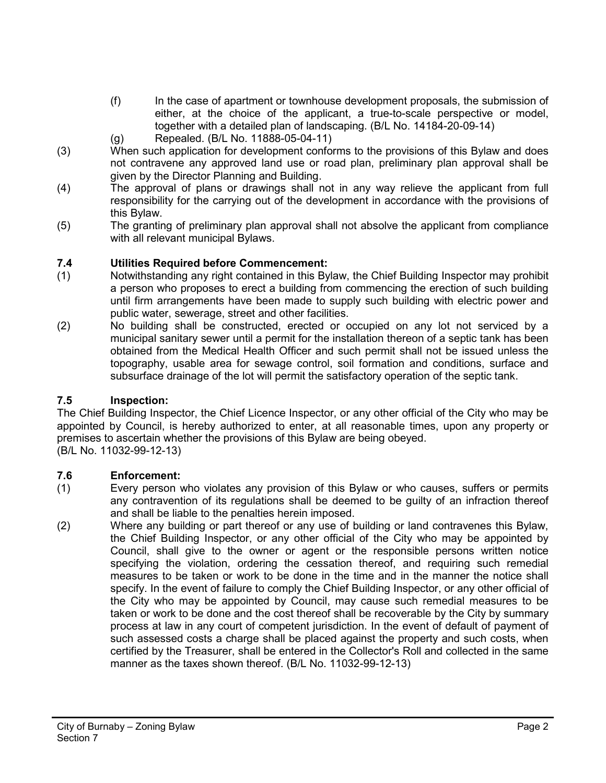- (f) In the case of apartment or townhouse development proposals, the submission of either, at the choice of the applicant, a true-to-scale perspective or model, together with a detailed plan of landscaping. (B/L No. 14184-20-09-14)
- (g) Repealed. (B/L No. 11888-05-04-11)
- (3) When such application for development conforms to the provisions of this Bylaw and does not contravene any approved land use or road plan, preliminary plan approval shall be given by the Director Planning and Building.
- (4) The approval of plans or drawings shall not in any way relieve the applicant from full responsibility for the carrying out of the development in accordance with the provisions of this Bylaw.
- (5) The granting of preliminary plan approval shall not absolve the applicant from compliance with all relevant municipal Bylaws.

## **7.4 Utilities Required before Commencement:**

- (1) Notwithstanding any right contained in this Bylaw, the Chief Building Inspector may prohibit a person who proposes to erect a building from commencing the erection of such building until firm arrangements have been made to supply such building with electric power and public water, sewerage, street and other facilities.
- (2) No building shall be constructed, erected or occupied on any lot not serviced by a municipal sanitary sewer until a permit for the installation thereon of a septic tank has been obtained from the Medical Health Officer and such permit shall not be issued unless the topography, usable area for sewage control, soil formation and conditions, surface and subsurface drainage of the lot will permit the satisfactory operation of the septic tank.

#### **7.5 Inspection:**

The Chief Building Inspector, the Chief Licence Inspector, or any other official of the City who may be appointed by Council, is hereby authorized to enter, at all reasonable times, upon any property or premises to ascertain whether the provisions of this Bylaw are being obeyed. (B/L No. 11032-99-12-13)

#### **7.6 Enforcement:**

- (1) Every person who violates any provision of this Bylaw or who causes, suffers or permits any contravention of its regulations shall be deemed to be guilty of an infraction thereof and shall be liable to the penalties herein imposed.
- (2) Where any building or part thereof or any use of building or land contravenes this Bylaw, the Chief Building Inspector, or any other official of the City who may be appointed by Council, shall give to the owner or agent or the responsible persons written notice specifying the violation, ordering the cessation thereof, and requiring such remedial measures to be taken or work to be done in the time and in the manner the notice shall specify. In the event of failure to comply the Chief Building Inspector, or any other official of the City who may be appointed by Council, may cause such remedial measures to be taken or work to be done and the cost thereof shall be recoverable by the City by summary process at law in any court of competent jurisdiction. In the event of default of payment of such assessed costs a charge shall be placed against the property and such costs, when certified by the Treasurer, shall be entered in the Collector's Roll and collected in the same manner as the taxes shown thereof. (B/L No. 11032-99-12-13)